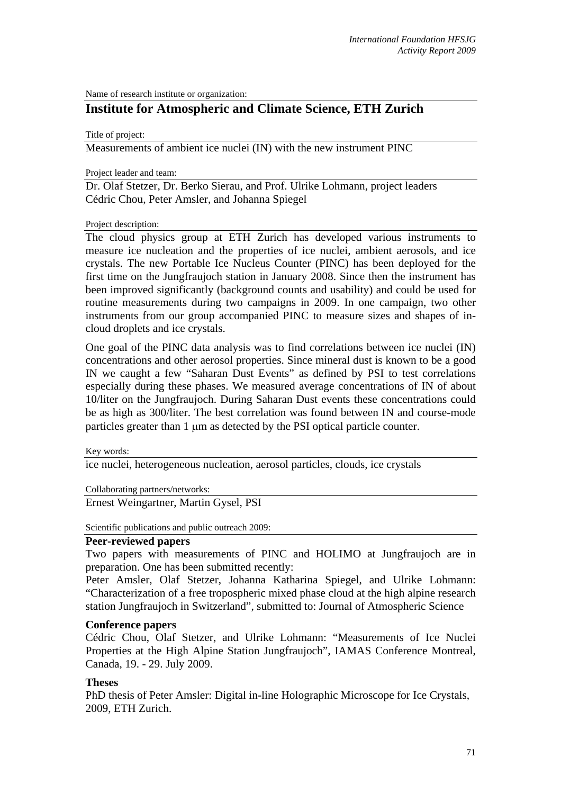Name of research institute or organization:

# **Institute for Atmospheric and Climate Science, ETH Zurich**

Title of project:

Measurements of ambient ice nuclei (IN) with the new instrument PINC

Project leader and team:

Dr. Olaf Stetzer, Dr. Berko Sierau, and Prof. Ulrike Lohmann, project leaders Cédric Chou, Peter Amsler, and Johanna Spiegel

#### Project description:

The cloud physics group at ETH Zurich has developed various instruments to measure ice nucleation and the properties of ice nuclei, ambient aerosols, and ice crystals. The new Portable Ice Nucleus Counter (PINC) has been deployed for the first time on the Jungfraujoch station in January 2008. Since then the instrument has been improved significantly (background counts and usability) and could be used for routine measurements during two campaigns in 2009. In one campaign, two other instruments from our group accompanied PINC to measure sizes and shapes of incloud droplets and ice crystals.

One goal of the PINC data analysis was to find correlations between ice nuclei (IN) concentrations and other aerosol properties. Since mineral dust is known to be a good IN we caught a few "Saharan Dust Events" as defined by PSI to test correlations especially during these phases. We measured average concentrations of IN of about 10/liter on the Jungfraujoch. During Saharan Dust events these concentrations could be as high as 300/liter. The best correlation was found between IN and course-mode particles greater than 1 um as detected by the PSI optical particle counter.

Key words:

ice nuclei, heterogeneous nucleation, aerosol particles, clouds, ice crystals

Collaborating partners/networks:

Ernest Weingartner, Martin Gysel, PSI

Scientific publications and public outreach 2009:

## **Peer-reviewed papers**

Two papers with measurements of PINC and HOLIMO at Jungfraujoch are in preparation. One has been submitted recently:

Peter Amsler, Olaf Stetzer, Johanna Katharina Spiegel, and Ulrike Lohmann: "Characterization of a free tropospheric mixed phase cloud at the high alpine research station Jungfraujoch in Switzerland", submitted to: Journal of Atmospheric Science

### **Conference papers**

Cédric Chou, Olaf Stetzer, and Ulrike Lohmann: "Measurements of Ice Nuclei Properties at the High Alpine Station Jungfraujoch", IAMAS Conference Montreal, Canada, 19. - 29. July 2009.

### **Theses**

PhD thesis of Peter Amsler: Digital in-line Holographic Microscope for Ice Crystals, 2009, ETH Zurich.